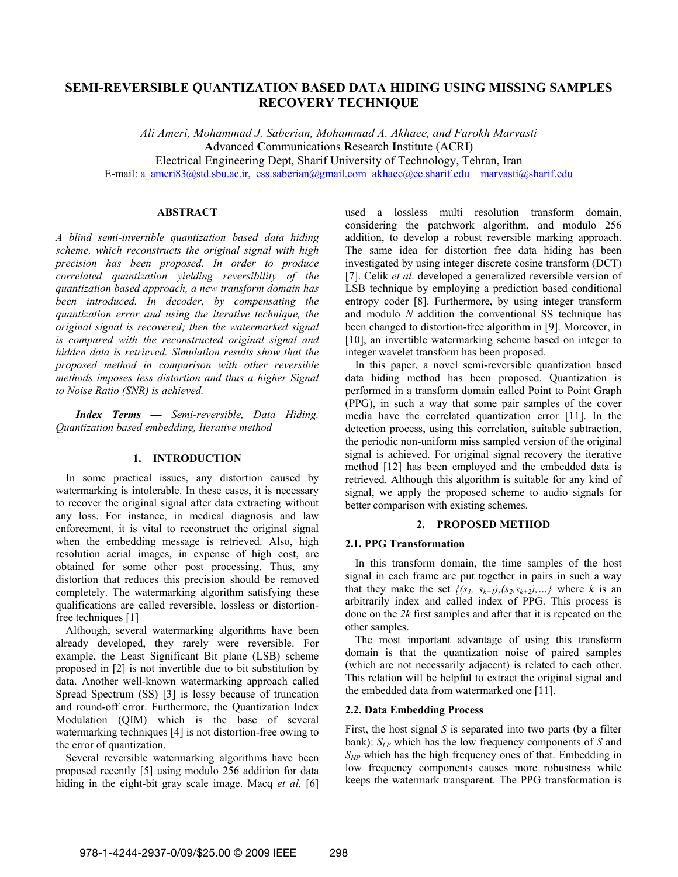# **SEMI-REVERSIBLE QUANTIZATION BASED DATA HIDING USING MISSING SAMPLES RECOVERY TECHNIQUE**

*Ali Ameri, Mohammad J. Saberian, Mohammad A. Akhaee, and Farokh Marvasti*  **A**dvanced **C**ommunications **R**esearch **I**nstitute (ACRI) Electrical Engineering Dept, Sharif University of Technology, Tehran, Iran E-mail: a\_ameri83@std.sbu.ac.ir, ess.saberian@gmail.com akhaee@ee.sharif.edu marvasti@sharif.edu

## **ABSTRACT**

*A blind semi-invertible quantization based data hiding scheme, which reconstructs the original signal with high precision has been proposed. In order to produce correlated quantization yielding reversibility of the quantization based approach, a new transform domain has been introduced. In decoder, by compensating the quantization error and using the iterative technique, the original signal is recovered; then the watermarked signal is compared with the reconstructed original signal and hidden data is retrieved. Simulation results show that the proposed method in comparison with other reversible methods imposes less distortion and thus a higher Signal to Noise Ratio (SNR) is achieved.* 

*Index Terms — Semi-reversible, Data Hiding, Quantization based embedding, Iterative method* 

### **1. INTRODUCTION**

In some practical issues, any distortion caused by watermarking is intolerable. In these cases, it is necessary to recover the original signal after data extracting without any loss. For instance, in medical diagnosis and law enforcement, it is vital to reconstruct the original signal when the embedding message is retrieved. Also, high resolution aerial images, in expense of high cost, are obtained for some other post processing. Thus, any distortion that reduces this precision should be removed completely. The watermarking algorithm satisfying these qualifications are called reversible, lossless or distortionfree techniques [1]

Although, several watermarking algorithms have been already developed, they rarely were reversible. For example, the Least Significant Bit plane (LSB) scheme proposed in [2] is not invertible due to bit substitution by data. Another well-known watermarking approach called Spread Spectrum (SS) [3] is lossy because of truncation and round-off error. Furthermore, the Quantization Index Modulation (QIM) which is the base of several watermarking techniques [4] is not distortion-free owing to the error of quantization.

Several reversible watermarking algorithms have been proposed recently [5] using modulo 256 addition for data hiding in the eight-bit gray scale image. Macq *et al*. [6] used a lossless multi resolution transform domain, considering the patchwork algorithm, and modulo 256 addition, to develop a robust reversible marking approach. The same idea for distortion free data hiding has been investigated by using integer discrete cosine transform (DCT) [7]. Celik *et al*. developed a generalized reversible version of LSB technique by employing a prediction based conditional entropy coder [8]. Furthermore, by using integer transform and modulo *N* addition the conventional SS technique has been changed to distortion-free algorithm in [9]. Moreover, in [10], an invertible watermarking scheme based on integer to integer wavelet transform has been proposed.

In this paper, a novel semi-reversible quantization based data hiding method has been proposed. Quantization is performed in a transform domain called Point to Point Graph (PPG), in such a way that some pair samples of the cover media have the correlated quantization error [11]. In the detection process, using this correlation, suitable subtraction, the periodic non-uniform miss sampled version of the original signal is achieved. For original signal recovery the iterative method [12] has been employed and the embedded data is retrieved. Although this algorithm is suitable for any kind of signal, we apply the proposed scheme to audio signals for better comparison with existing schemes.

## **2. PROPOSED METHOD**

### **2.1. PPG Transformation**

In this transform domain, the time samples of the host signal in each frame are put together in pairs in such a way that they make the set  $\{(s_1, s_{k+1}), (s_2, s_{k+2}), \ldots\}$  where *k* is an arbitrarily index and called index of PPG. This process is done on the *2k* first samples and after that it is repeated on the other samples.

The most important advantage of using this transform domain is that the quantization noise of paired samples (which are not necessarily adjacent) is related to each other. This relation will be helpful to extract the original signal and the embedded data from watermarked one [11].

#### **2.2. Data Embedding Process**

First, the host signal *S* is separated into two parts (by a filter bank): *SLP* which has the low frequency components of *S* and *S<sub>HP</sub>* which has the high frequency ones of that. Embedding in low frequency components causes more robustness while keeps the watermark transparent. The PPG transformation is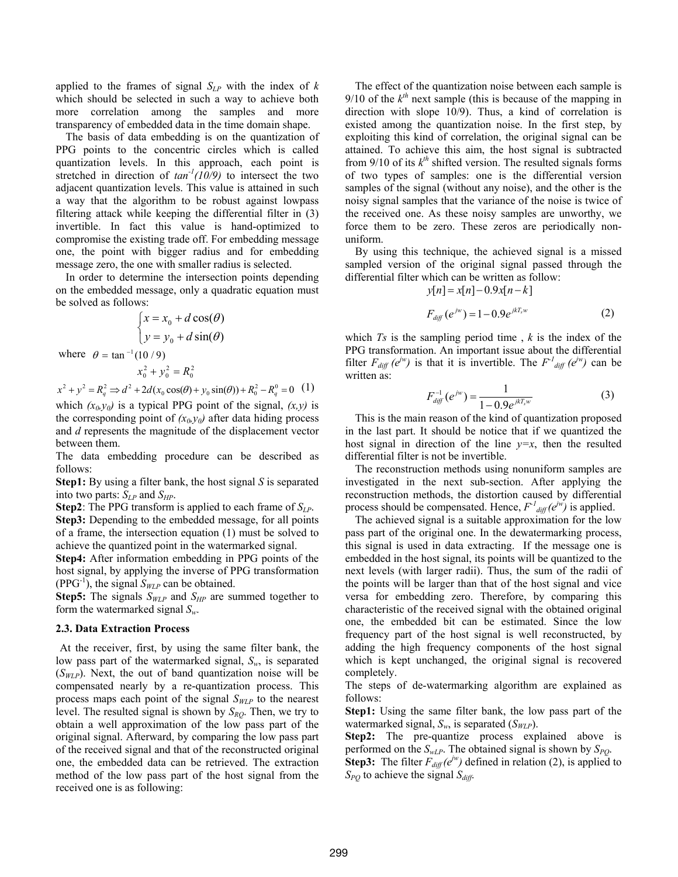applied to the frames of signal  $S_{LP}$  with the index of *k* which should be selected in such a way to achieve both more correlation among the samples and more transparency of embedded data in the time domain shape.

The basis of data embedding is on the quantization of PPG points to the concentric circles which is called quantization levels. In this approach, each point is stretched in direction of  $tan^{-1}(10/9)$  to intersect the two adjacent quantization levels. This value is attained in such a way that the algorithm to be robust against lowpass filtering attack while keeping the differential filter in (3) invertible. In fact this value is hand-optimized to compromise the existing trade off. For embedding message one, the point with bigger radius and for embedding message zero, the one with smaller radius is selected.

In order to determine the intersection points depending on the embedded message, only a quadratic equation must be solved as follows:

$$
\begin{cases}\nx = x_0 + d\cos(\theta) \\
y = y_0 + d\sin(\theta)\n\end{cases}
$$
\nwhere  $\theta = \tan^{-1}(10/9)$   
\n $x_0^2 + y_0^2 = R_0^2$ 

 $x^2 + y^2 = R_q^2 \Rightarrow d^2 + 2d(x_0 \cos(\theta) + y_0 \sin(\theta)) + R_0^2 - R_q^0 = 0$  (1)

which  $(x_0, y_0)$  is a typical PPG point of the signal,  $(x, y)$  is the corresponding point of  $(x_0, y_0)$  after data hiding process and *d* represents the magnitude of the displacement vector between them.

The data embedding procedure can be described as follows:

**Step1:** By using a filter bank, the host signal *S* is separated into two parts:  $S_{LP}$  and  $S_{HP}$ .

**Step2**: The PPG transform is applied to each frame of *SLP*.

**Step3:** Depending to the embedded message, for all points of a frame, the intersection equation (1) must be solved to achieve the quantized point in the watermarked signal.

**Step4:** After information embedding in PPG points of the host signal, by applying the inverse of PPG transformation (PPG<sup>-1</sup>), the signal  $S_{WLP}$  can be obtained.

**Step5:** The signals  $S_{WLP}$  and  $S_{HP}$  are summed together to form the watermarked signal *Sw*.

### **2.3. Data Extraction Process**

At the receiver, first, by using the same filter bank, the low pass part of the watermarked signal, *Sw*, is separated  $(S_{WLP})$ . Next, the out of band quantization noise will be compensated nearly by a re-quantization process. This process maps each point of the signal *SWLP* to the nearest level. The resulted signal is shown by  $S_{RQ}$ . Then, we try to obtain a well approximation of the low pass part of the original signal. Afterward, by comparing the low pass part of the received signal and that of the reconstructed original one, the embedded data can be retrieved. The extraction method of the low pass part of the host signal from the received one is as following:

The effect of the quantization noise between each sample is  $9/10$  of the  $k<sup>th</sup>$  next sample (this is because of the mapping in direction with slope 10/9). Thus, a kind of correlation is existed among the quantization noise. In the first step, by exploiting this kind of correlation, the original signal can be attained. To achieve this aim, the host signal is subtracted from  $9/10$  of its  $k^{th}$  shifted version. The resulted signals forms of two types of samples: one is the differential version samples of the signal (without any noise), and the other is the noisy signal samples that the variance of the noise is twice of the received one. As these noisy samples are unworthy, we force them to be zero. These zeros are periodically nonuniform.

By using this technique, the achieved signal is a missed sampled version of the original signal passed through the differential filter which can be written as follow:

$$
y[n] = x[n] - 0.9x[n-k]
$$
  

$$
F_{diff}(e^{jw}) = 1 - 0.9e^{jkT_{s}w}
$$
 (2)

which *Ts* is the sampling period time , *k* is the index of the PPG transformation. An important issue about the differential filter  $F_{diff}$  ( $e^{iw}$ ) is that it is invertible. The  $F^{\dagger}_{diff}$  ( $e^{iw}$ ) can be written as:

$$
F_{\text{diff}}^{-1}(e^{jw}) = \frac{1}{1 - 0.9e^{j k T_s w}}
$$
(3)

This is the main reason of the kind of quantization proposed in the last part. It should be notice that if we quantized the host signal in direction of the line  $y=x$ , then the resulted differential filter is not be invertible.

The reconstruction methods using nonuniform samples are investigated in the next sub-section. After applying the reconstruction methods, the distortion caused by differential process should be compensated. Hence,  $F^{\prime}_{\textit{diff}}(e^{iw})$  is applied.

The achieved signal is a suitable approximation for the low pass part of the original one. In the dewatermarking process, this signal is used in data extracting. If the message one is embedded in the host signal, its points will be quantized to the next levels (with larger radii). Thus, the sum of the radii of the points will be larger than that of the host signal and vice versa for embedding zero. Therefore, by comparing this characteristic of the received signal with the obtained original one, the embedded bit can be estimated. Since the low frequency part of the host signal is well reconstructed, by adding the high frequency components of the host signal which is kept unchanged, the original signal is recovered completely.

The steps of de-watermarking algorithm are explained as follows:

**Step1:** Using the same filter bank, the low pass part of the watermarked signal,  $S_w$ , is separated  $(S_{WLP})$ .

**Step2:** The pre-quantize process explained above is performed on the  $S_{wLP}$ . The obtained signal is shown by  $S_{PO}$ .

**Step3:** The filter  $F_{diff}(e^{iw})$  defined in relation (2), is applied to  $S_{PQ}$  to achieve the signal  $S_{diff}$ .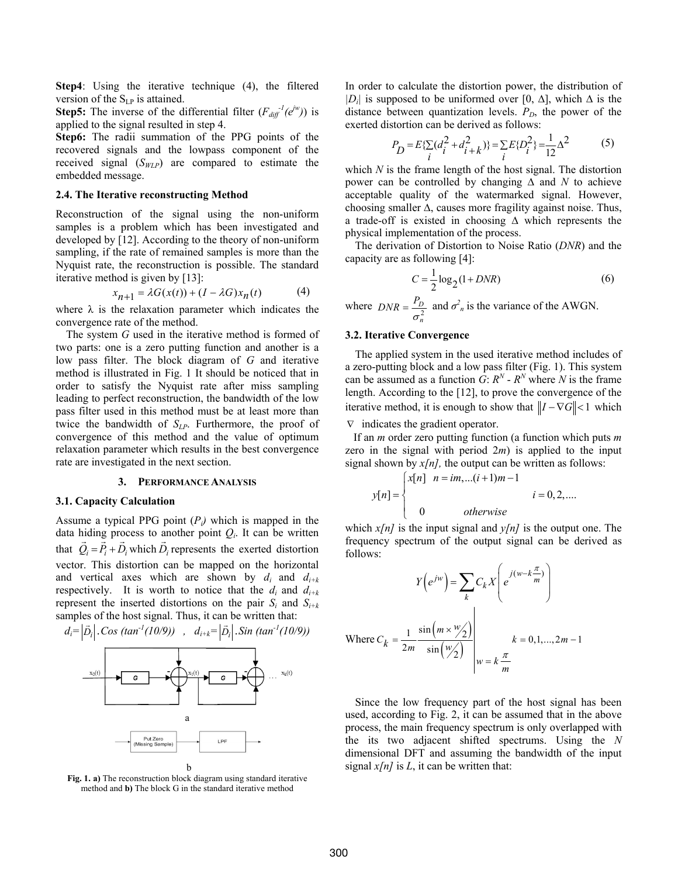**Step4**: Using the iterative technique (4), the filtered version of the  $S_{LP}$  is attained.

**Step5:** The inverse of the differential filter  $(F_{diff}^{-1}(e^{iw}))$  is applied to the signal resulted in step 4.

**Step6:** The radii summation of the PPG points of the recovered signals and the lowpass component of the received signal (*SWLP*) are compared to estimate the embedded message.

### **2.4. The Iterative reconstructing Method**

Reconstruction of the signal using the non-uniform samples is a problem which has been investigated and developed by [12]. According to the theory of non-uniform sampling, if the rate of remained samples is more than the Nyquist rate, the reconstruction is possible. The standard iterative method is given by [13]:

$$
x_{n+1} = \lambda G(x(t)) + (I - \lambda G)x_n(t) \tag{4}
$$

where  $\lambda$  is the relaxation parameter which indicates the convergence rate of the method.

The system *G* used in the iterative method is formed of two parts: one is a zero putting function and another is a low pass filter. The block diagram of *G* and iterative method is illustrated in Fig. 1 It should be noticed that in order to satisfy the Nyquist rate after miss sampling leading to perfect reconstruction, the bandwidth of the low pass filter used in this method must be at least more than twice the bandwidth of *SLP*. Furthermore, the proof of convergence of this method and the value of optimum relaxation parameter which results in the best convergence rate are investigated in the next section.

### **3. PERFORMANCE ANALYSIS**

#### **3.1. Capacity Calculation**

Assume a typical PPG point  $(P_i)$  which is mapped in the data hiding process to another point  $Q_i$ . It can be written that  $\vec{Q}_i = \vec{P}_i + \vec{D}_i$  which  $\vec{D}_i$  represents the exerted distortion vector. This distortion can be mapped on the horizontal and vertical axes which are shown by  $d_i$  and  $d_{i+k}$ respectively. It is worth to notice that the  $d_i$  and  $d_{i+k}$ represent the inserted distortions on the pair  $S_i$  and  $S_{i+k}$ samples of the host signal. Thus, it can be written that:



**Fig. 1. a)** The reconstruction block diagram using standard iterative method and **b)** The block G in the standard iterative method

In order to calculate the distortion power, the distribution of *|Di|* is supposed to be uniformed over [0, ∆], which ∆ is the distance between quantization levels.  $P_D$ , the power of the exerted distortion can be derived as follows:

$$
P_D = E\{\sum_{i} (d_i^2 + d_{i+k}^2)\} = \sum_{i} E\{D_i^2\} = \frac{1}{12} \Delta^2
$$
 (5)

which *N* is the frame length of the host signal. The distortion power can be controlled by changing ∆ and *N* to achieve acceptable quality of the watermarked signal. However, choosing smaller ∆, causes more fragility against noise. Thus, a trade-off is existed in choosing ∆ which represents the physical implementation of the process.

The derivation of Distortion to Noise Ratio (*DNR*) and the capacity are as following [4]:

$$
C = \frac{1}{2}\log_2\left(1 + DNR\right) \tag{6}
$$

where  $DNR = \frac{F_D}{\sigma^2}$ *n*  $DNR = \frac{P_D}{\sigma_{\text{max}}^2}$  and  $\sigma_{\text{n}}^2$  is the variance of the AWGN.

### **3.2. Iterative Convergence**

The applied system in the used iterative method includes of a zero-putting block and a low pass filter (Fig. 1). This system can be assumed as a function  $\tilde{G}$ :  $R^N$  -  $R^N$  where  $N$  is the frame length. According to the [12], to prove the convergence of the iterative method, it is enough to show that  $||I - \nabla G|| < 1$  which

∇ indicates the gradient operator.

 If an *m* order zero putting function (a function which puts *m* zero in the signal with period 2*m*) is applied to the input signal shown by  $x/n$ , the output can be written as follows:

$$
y[n] = \begin{cases} x[n] & n = im, \dots (i+1)m - 1 \\ 0 & \text{otherwise} \end{cases} \quad i = 0, 2, \dots
$$

which  $x/n$  is the input signal and  $y/n$  is the output one. The frequency spectrum of the output signal can be derived as follows:

$$
Y(e^{jw}) = \sum_{k} C_{k} X\left(e^{j(w-k\frac{\pi}{m})}\right)
$$
  
Where  $C_{k} = \frac{1}{2m} \frac{\sin(m \times w/2)}{\sin(\frac{w}{2})}\Big|_{w=k\frac{\pi}{m}}$   $k = 0, 1, ..., 2m-1$ 

Since the low frequency part of the host signal has been used, according to Fig. 2, it can be assumed that in the above process, the main frequency spectrum is only overlapped with the its two adjacent shifted spectrums. Using the *N* dimensional DFT and assuming the bandwidth of the input signal  $x/n$  is  $L$ , it can be written that: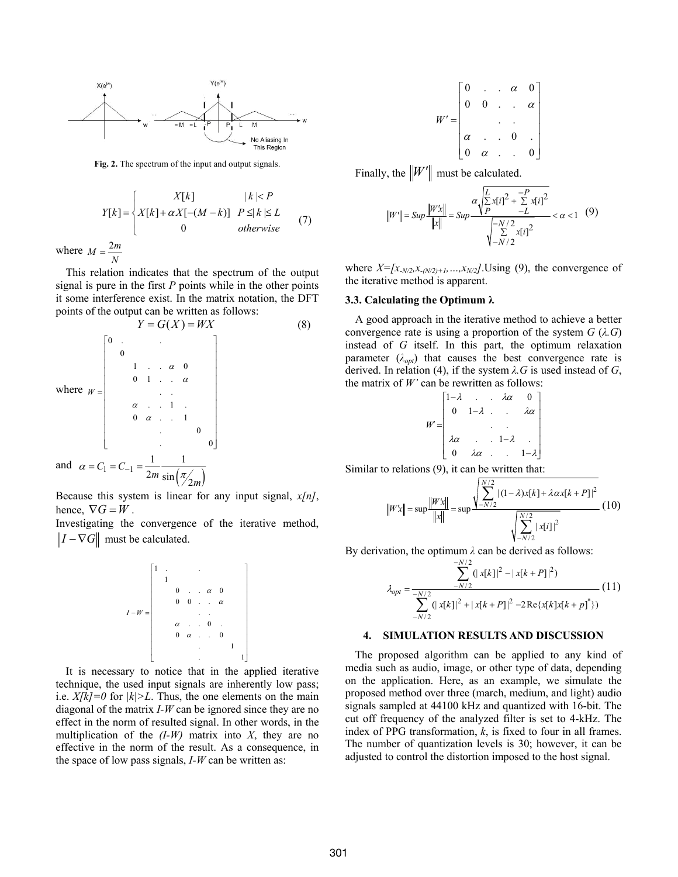

**Fig. 2.** The spectrum of the input and output signals.

$$
Y[k] = \begin{cases} X[k] & |k| < P \\ X[k] + \alpha X[-(M-k)] & P \le |k| \le L \\ 0 & \text{otherwise} \end{cases} \tag{7}
$$

where  $M = \frac{2m}{N}$ 

This relation indicates that the spectrum of the output signal is pure in the first *P* points while in the other points it some interference exist. In the matrix notation, the DFT points of the output can be written as follows:

$$
Y = G(X) = WX
$$
\n
$$
\text{where } W = \begin{bmatrix}\n0 & \cdots & \cdots & \cdots \\
0 & \cdots & \cdots & \cdots \\
0 & 1 & \cdots & \alpha & 0 \\
\vdots & \vdots & \ddots & \vdots \\
\vdots & \vdots & \ddots & \vdots \\
0 & \alpha & \cdots & 1 & \cdots \\
\vdots & \vdots & \ddots & \vdots \\
0 & \alpha & \cdots & 1 & \cdots \\
\vdots & \vdots & \ddots & \vdots \\
0 & \cdots & \ddots & \vdots \\
\vdots & \vdots & \ddots & \vdots \\
0 & \cdots & \ddots & \vdots \\
\vdots & \vdots & \ddots & \vdots \\
0 & \cdots & \vdots & \vdots \\
\vdots & \vdots & \ddots & \vdots \\
0 & \cdots & \vdots & \vdots \\
\vdots & \vdots & \ddots & \vdots \\
0 & \cdots & \vdots & \vdots \\
\vdots & \vdots & \vdots & \vdots \\
0 & \cdots & \vdots & \vdots \\
\vdots & \vdots & \vdots & \vdots \\
0 & \cdots & \vdots & \vdots \\
\vdots & \vdots & \vdots & \vdots \\
0 & \cdots & \vdots & \vdots \\
\vdots & \vdots & \vdots & \vdots \\
0 & \cdots & \vdots & \vdots \\
\vdots & \vdots & \vdots & \vdots \\
0 & \cdots & \vdots & \vdots \\
\vdots & \vdots & \vdots & \vdots \\
\vdots & \vdots & \vdots & \vdots \\
\vdots & \vdots & \vdots & \vdots \\
\vdots & \vdots & \vdots & \vdots \\
\vdots & \vdots & \vdots & \vdots \\
\vdots & \vdots & \vdots & \vdots \\
\vdots & \vdots & \vdots & \vdots \\
\vdots & \vdots & \vdots & \vdots \\
\vdots & \vdots & \vdots & \vdots \\
\vdots & \vdots & \vdots & \vdots \\
\vdots & \vdots & \vdots & \vdots \\
\vdots & \vdots & \vdots & \vdots \\
\vdots & \vdots & \vdots & \vdots \\
\vdots & \vdots & \vdots & \vdots \\
\vdots & \vdots & \vdots & \vdots \\
\vdots & \vdots & \vdots & \vdots \\
\vdots & \vdots & \vdots & \vdots \\
\vdots & \vdots & \vdots & \vdots \\
\vdots & \vdots & \vdots & \vdots \\
\
$$

Because this system is linear for any input signal, *x[n]*, hence,  $\nabla G = W$ .

Investigating the convergence of the iterative method,  $\|I - \nabla G\|$  must be calculated.

$$
I-W = \begin{bmatrix} 1 & 1 & & & & & \\ & 1 & & & & & & \\ & 0 & . & \alpha & 0 & & \\ & 0 & 0 & . & \alpha & & \\ & & & . & 0 & & \\ & & & \alpha & . & 0 & & \\ & & & 0 & \alpha & . & 0 & \\ & & & & & & 1 & \\ & & & & & & & 1 \end{bmatrix}
$$

It is necessary to notice that in the applied iterative technique, the used input signals are inherently low pass; i.e.  $X/k = 0$  for  $|k| > L$ . Thus, the one elements on the main diagonal of the matrix *I-W* can be ignored since they are no effect in the norm of resulted signal. In other words, in the multiplication of the  $(I-W)$  matrix into X, they are no effective in the norm of the result. As a consequence, in the space of low pass signals, *I-W* can be written as:

$$
W' = \begin{bmatrix} 0 & \ldots & \alpha & 0 \\ 0 & 0 & \ldots & \alpha \\ \vdots & \vdots & \ddots & \vdots \\ \alpha & \ldots & 0 & \ldots \\ 0 & \alpha & \ldots & 0 \end{bmatrix}
$$

Finally, the  $\|W'\|$  must be calculated.

$$
||W'|| = Sup \frac{||Wx||}{||x||} = Sup \frac{\alpha \sqrt{\sum_{i=1}^{L} x[i]^2 + \sum_{i=1}^{L} x[i]^2}}{\sqrt{\sum_{i=1}^{L} x[i]^2}} < \alpha < 1 \quad (9)
$$

where  $X = [x_{N/2}, x_{N/2} + 1, \ldots, x_{N/2}]$ . Using (9), the convergence of the iterative method is apparent.

### **3.3. Calculating the Optimum λ**

A good approach in the iterative method to achieve a better convergence rate is using a proportion of the system *G* (*λ.G*) instead of *G* itself. In this part, the optimum relaxation parameter  $(\lambda_{opt})$  that causes the best convergence rate is derived. In relation (4), if the system *λ.G* is used instead of *G*, the matrix of *W'* can be rewritten as follows:

$$
r = \begin{bmatrix} 1-\lambda & \lambda \alpha & 0 \\ 0 & 1-\lambda & \lambda \alpha \\ \lambda \alpha & \lambda \alpha & 1-\lambda \\ 0 & \lambda \alpha & \lambda \alpha & 1-\lambda \end{bmatrix}
$$

Similar to relations (9), it can be written that:

*W*

$$
||W'x|| = \sup \frac{||W'x||}{||x||} = \sup \frac{\sqrt{\sum_{-N/2}^{N/2} |(1-\lambda)x[k] + \lambda \alpha x[k+P]|^2}}{\sqrt{\sum_{-N/2}^{N/2} |x[i]|^2}} (10)
$$

By derivation, the optimum *λ* can be derived as follows:

$$
\lambda_{opt} = \frac{\sum_{-N/2}^{-N/2} (|\mathbf{x}[k]|^2 - |\mathbf{x}[k+P]|^2)}{\sum_{-N/2}^{-N/2} (|\mathbf{x}[k]|^2 + |\mathbf{x}[k+P]|^2 - 2\operatorname{Re}\{\mathbf{x}[k]\mathbf{x}[k+p]\}^*)}
$$
(11)

#### **4. SIMULATION RESULTS AND DISCUSSION**

The proposed algorithm can be applied to any kind of media such as audio, image, or other type of data, depending on the application. Here, as an example, we simulate the proposed method over three (march, medium, and light) audio signals sampled at 44100 kHz and quantized with 16-bit. The cut off frequency of the analyzed filter is set to 4-kHz. The index of PPG transformation, *k*, is fixed to four in all frames. The number of quantization levels is 30; however, it can be adjusted to control the distortion imposed to the host signal.